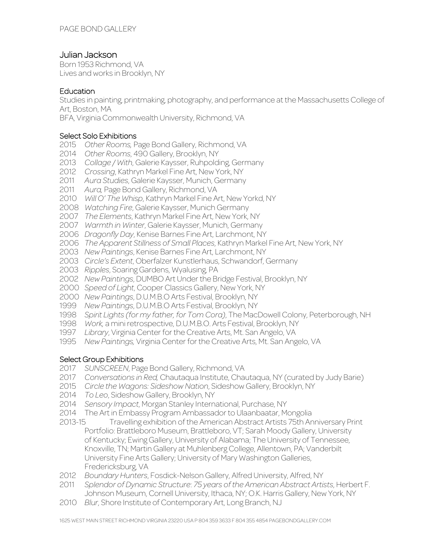# Julian Jackson

Born 1953 Richmond, VA Lives and works in Brooklyn, NY

## **Education**

Studies in painting, printmaking, photography, and performance at the Massachusetts College of Art, Boston, MA

BFA, Virginia Commonwealth University, Richmond, VA

## Select Solo Exhibitions

- *Other Rooms,* Page Bond Gallery, Richmond, VA
- *Other Rooms*, 490 Gallery, Brooklyn, NY
- *Collage / With*, Galerie Kaysser, Ruhpolding, Germany
- *Crossing*, Kathryn Markel Fine Art, New York, NY
- *Aura Studies*, Galerie Kaysser, Munich, Germany
- *Aura,* Page Bond Gallery, Richmond, VA
- *Will O' The Whisp*, Kathryn Markel Fine Art, New Yorkd, NY
- *Watching Fire*, Galerie Kaysser, Munich Germany
- *The Elements*, Kathryn Markel Fine Art, New York, NY
- *Warmth in Winter*, Galerie Kaysser, Munich, Germany
- *Dragonfly Day*, Kenise Barnes Fine Art, Larchmont, NY
- *The Apparent Stillness of Small Places*, Kathryn Markel Fine Art, New York, NY
- *New Paintings*, Kenise Barnes Fine Art, Larchmont, NY
- *Circle's Extent*, Oberfalzer Kunstlerhaus, Schwandorf, Germany
- *Ripples*, Soaring Gardens, Wyalusing, PA
- *New Paintings*, DUMBO Art Under the Bridge Festival, Brooklyn, NY
- *Speed of Light*, Cooper Classics Gallery, New York, NY
- *New Paintings*, D.U.M.B.O Arts Festival, Brooklyn, NY
- *New Paintings*, D.U.M.B.O Arts Festival, Brooklyn, NY
- *Spirit Lights (for my father, for Tom Cora)*, The MacDowell Colony, Peterborough, NH
- *Work,* a mini retrospective, D.U.M.B.O. Arts Festival, Brooklyn, NY
- *Library*, Virginia Center for the Creative Arts, Mt. San Angelo, VA
- *New Paintings,* Virginia Center for the Creative Arts, Mt. San Angelo, VA

# Select Group Exhibitions

- *SUNSCREEN*, Page Bond Gallery, Richmond, VA
- *Conversations in Red,* Chautaqua Institute, Chautaqua, NY (curated by Judy Barie)
- *Circle the Wagons: Sideshow Nation*, Sideshow Gallery, Brooklyn, NY
- *To Leo*, Sideshow Gallery, Brooklyn, NY
- *Sensory Impact*, Morgan Stanley International, Purchase, NY
- The Art in Embassy Program Ambassador to Ulaanbaatar, Mongolia
- Travelling exhibition of the American Abstract Artists 75th Anniversary Print Portfolio: Brattleboro Museum, Brattleboro, VT; Sarah Moody Gallery, University of Kentucky; Ewing Gallery, University of Alabama; The University of Tennessee, Knoxville, TN; Martin Gallery at Muhlenberg College, Allentown, PA; Vanderbilt University Fine Arts Gallery; University of Mary Washington Galleries, Fredericksburg, VA
- *Boundary Hunters*, Fosdick-Nelson Gallery, Alfred University, Alfred, NY
- *Splendor of Dynamic Structure*: *75 years of the American Abstract Artists*, Herbert F. Johnson Museum, Cornell University, Ithaca, NY; O.K. Harris Gallery, New York, NY
- *Blur*, Shore Institute of Contemporary Art, Long Branch, NJ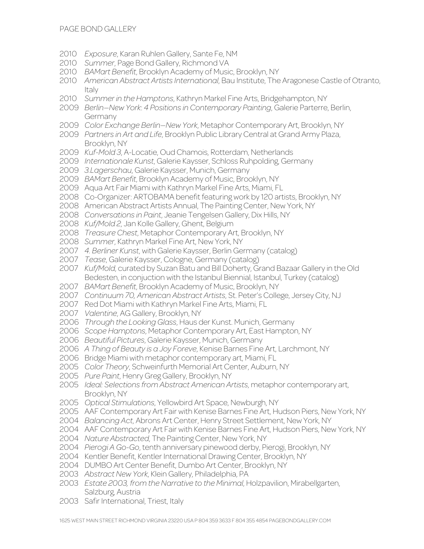- *Exposure*, Karan Ruhlen Gallery, Sante Fe, NM
- *Summer*, Page Bond Gallery, Richmond VA
- *BAMart Benefit*, Brooklyn Academy of Music, Brooklyn, NY
- *American Abstract Artists International*, Bau Institute, The Aragonese Castle of Otranto, **Italy**
- *Summer in the Hamptons*, Kathryn Markel Fine Arts, Bridgehampton, NY
- *Berlin—New York*: *4 Positions in Contemporary Painting*, Galerie Parterre, Berlin, Germany
- *Color Exchange Berlin—New York*, Metaphor Contemporary Art, Brooklyn, NY
- *Partners in Art and Life*, Brooklyn Public Library Central at Grand Army Plaza, Brooklyn, NY
- *Kuf-Mold 3*, A-Locatie, Oud Chamois, Rotterdam, Netherlands
- *Internationale Kunst*, Galerie Kaysser, Schloss Ruhpolding, Germany
- *3.Lagerschau*, Galerie Kaysser, Munich, Germany
- *BAMart Benefit*, Brooklyn Academy of Music, Brooklyn, NY
- Aqua Art Fair Miami with Kathryn Markel Fine Arts, Miami, FL
- Co-Organizer: ARTOBAMA benefit featuring work by 120 artists, Brooklyn, NY
- American Abstract Artists Annual, The Painting Center, New York, NY
- *Conversations in Paint*, Jeanie Tengelsen Gallery, Dix Hills, NY
- *Kuf/Mold 2*, Jan Kolle Gallery, Ghent, Belgium
- *Treasure Chest*, Metaphor Contemporary Art, Brooklyn, NY
- *Summer*, Kathryn Markel Fine Art, New York, NY
- *4. Berliner Kunst*, with Galerie Kaysser, Berlin Germany (catalog)
- *Tease*, Galerie Kaysser, Cologne, Germany (catalog)
- *Kuf/Mold*, curated by Suzan Batu and Bill Doherty, Grand Bazaar Gallery in the Old Bedesten, in conjuction with the Istanbul Biennial, Istanbul, Turkey (catalog)
- *BAMart Benefit*, Brooklyn Academy of Music, Brooklyn, NY
- *Continuum 70, American Abstract Artists*, St. Peter's College, Jersey City, NJ
- Red Dot Miami with Kathryn Markel Fine Arts, Miami, FL
- *Valentine*, AG Gallery, Brooklyn, NY
- *Through the Looking Glass*, Haus der Kunst. Munich, Germany
- *Scope Hamptons*, Metaphor Contemporary Art, East Hampton, NY
- *Beautiful Pictures*, Galerie Kaysser, Munich, Germany
- *A Thing of Beauty is a Joy Foreve*, Kenise Barnes Fine Art, Larchmont, NY
- Bridge Miami with metaphor contemporary art, Miami, FL
- *Color Theory*, Schweinfurth Memorial Art Center, Auburn, NY
- *Pure Paint*, Henry Greg Gallery, Brooklyn, NY
- *Ideal: Selections from Abstract American Artists*, metaphor contemporary art, Brooklyn, NY
- *Optical Stimulations*, Yellowbird Art Space, Newburgh, NY
- AAF Contemporary Art Fair with Kenise Barnes Fine Art, Hudson Piers, New York, NY
- *Balancing Act*, Abrons Art Center, Henry Street Settlement, New York, NY
- AAF Contemporary Art Fair with Kenise Barnes Fine Art, Hudson Piers, New York, NY
- *Nature Abstracted*, The Painting Center, New York, NY
- *Pierogi A Go-Go*, tenth anniversary pinewood derby, Pierogi, Brooklyn, NY
- Kentler Benefit, Kentler International Drawing Center, Brooklyn, NY
- DUMBO Art Center Benefit, Dumbo Art Center, Brooklyn, NY
- *Abstract New York*, Klein Gallery, Philadelphia, PA
- *Estate 2003, from the Narrative to the Minimal*, Holzpavilion, Mirabellgarten, Salzburg, Austria
- Safir International, Triest, Italy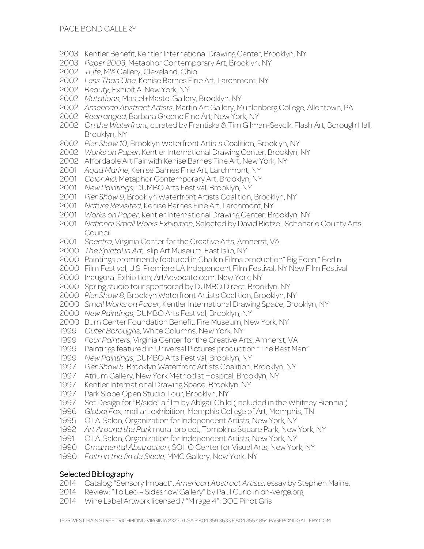- Kentler Benefit, Kentler International Drawing Center, Brooklyn, NY
- *Paper 2003*, Metaphor Contemporary Art, Brooklyn, NY
- *+Life*, M% Gallery, Cleveland, Ohio
- *Less Than One*, Kenise Barnes Fine Art, Larchmont, NY
- *Beauty*, Exhibit A, New York, NY
- *Mutations*, Mastel+Mastel Gallery, Brooklyn, NY
- *American Abstract Artists*, Martin Art Gallery, Muhlenberg College, Allentown, PA
- *Rearranged*, Barbara Greene Fine Art, New York, NY
- *On the Waterfront*, curated by Frantiska & Tim Gilman-Sevcik, Flash Art, Borough Hall, Brooklyn, NY
- *Pier Show 10*, Brooklyn Waterfront Artists Coalition, Brooklyn, NY
- *Works on Paper*, Kentler International Drawing Center, Brooklyn, NY
- Affordable Art Fair with Kenise Barnes Fine Art, New York, NY
- *Aqua Marine*, Kenise Barnes Fine Art, Larchmont, NY
- *Color Aid*, Metaphor Contemporary Art, Brooklyn, NY
- *New Paintings*, DUMBO Arts Festival, Brooklyn, NY
- *Pier Show 9*, Brooklyn Waterfront Artists Coalition, Brooklyn, NY
- *Nature Revisited*, Kenise Barnes Fine Art, Larchmont, NY
- *Works on Paper*, Kentler International Drawing Center, Brooklyn, NY
- *National Small Works Exhibition*, Selected by David Bietzel, Schoharie County Arts Council
- *Spectra*, Virginia Center for the Creative Arts, Amherst, VA
- *The Spirital In Art*, Islip Art Museum, East Islip, NY
- Paintings prominently featured in Chaikin Films production" Big Eden," Berlin
- Film Festival, U.S. Premiere LA Independent Film Festival, NY New Film Festival
- Inaugural Exhibition; ArtAdvocate.com, New York, NY
- Spring studio tour sponsored by DUMBO Direct, Brooklyn, NY
- *Pier Show 8*, Brooklyn Waterfront Artists Coalition, Brooklyn, NY
- *Small Works on Paper*, Kentler International Drawing Space, Brooklyn, NY
- *New Paintings*, DUMBO Arts Festival, Brooklyn, NY
- Burn Center Foundation Benefit, Fire Museum, New York, NY
- *Outer Boroughs*, White Columns, New York, NY
- *Four Painters*, Virginia Center for the Creative Arts, Amherst, VA
- Paintings featured in Universal Pictures production "The Best Man"
- *New Paintings*, DUMBO Arts Festival, Brooklyn, NY
- *Pier Show 5*, Brooklyn Waterfront Artists Coalition, Brooklyn, NY
- Atrium Gallery, New York Methodist Hospital, Brooklyn, NY
- Kentler International Drawing Space, Brooklyn, NY
- Park Slope Open Studio Tour, Brooklyn, NY
- Set Design for "B/side" a film by Abigail Child (Included in the Whitney Biennial)
- *Global Fax*, mail art exhibition, Memphis College of Art, Memphis, TN
- O.I.A. Salon, Organization for Independent Artists, New York, NY
- *Art Around the Park* mural project, Tompkins Square Park, New York, NY
- O.I.A. Salon, Organization for Independent Artists, New York, NY
- *Ornamental Abstraction*, SOHO Center for Visual Arts, New York, NY
- *Faith in the fin de Siecle*, MMC Gallery, New York, NY

# Selected Bibliography

- 2014 Catalog: "Sensory Impact", *American Abstract Artists*, essay by Stephen Maine,
- Review: "To Leo Sideshow Gallery" by Paul Curio in on-verge.org,
- Wine Label Artwork licensed / "Mirage 4": BOE Pinot Gris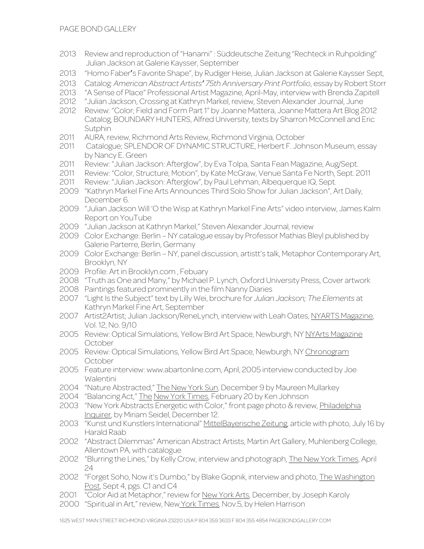- 2013 Review and reproduction of "Hanami" : Süddeutsche Zeitung "Rechteck in Ruhpolding" Julian Jackson at Galerie Kaysser, September
- 2013 "Homo Faber's Favorite Shape", by Rudiger Heise, Julian Jackson at Galerie Kaysser Sept,
- 2013 Catalog*: American Abstract Artists' 75th Anniversary Print Portfolio*, essay by Robert Storr
- 2013 "A Sense of Place" Professional Artist Magazine, April-May, interview with Brenda Zapitell
- 2012 "Julian Jackson, Crossing at Kathryn Markel, review, Steven Alexander Journal, June
- 2012 Review: "Color; Field and Form Part 1" by Joanne Mattera, Joanne Mattera Art Blog 2012 Catalog, BOUNDARY HUNTERS, Alfred University, texts by Sharron McConnell and Eric **Sutphin**
- 2011 AURA, review, Richmond Arts Review, Richmond Virginia, October
- 2011 Catalogue; SPLENDOR OF DYNAMIC STRUCTURE, Herbert F. Johnson Museum, essay by Nancy E. Green
- 2011 Review: "Julian Jackson: Afterglow", by Eva Tolpa, Santa Fean Magazine, Aug/Sept.
- 2011 Review: "Color, Structure, Motion", by Kate McGraw, Venue Santa Fe North, Sept. 2011
- 2011 Review: "Julian Jackson: Afterglow", by Paul Lehman, Albequerque IQ, Sept.
- 2009 "Kathryn Markel Fine Arts Announces Third Solo Show for Julian Jackson", Art Daily, December 6.
- 2009 "Julian Jackson Will 'O the Wisp at Kathryn Markel Fine Arts" video interview, James Kalm Report on YouTube
- 2009 "Julian Jackson at Kathryn Markel," Steven Alexander Journal, review
- 2009 Color Exchange: Berlin NY catalogue essay by Professor Mathias Bleyl published by Galerie Parterre, Berlin, Germany
- 2009 Color Exchange: Berlin NY, panel discussion, artistt's talk, Metaphor Contemporary Art, Brooklyn, NY
- 2009 Profile: Art in Brooklyn.com , Febuary
- 2008 "Truth as One and Many," by Michael P. Lynch, Oxford University Press, Cover artwork
- 2008 Paintings featured prominently in the film Nanny Diaries
- 2007 "Light Is the Subject" text by Lilly Wei, brochure for *Julian Jackson; The Elements* at Kathryn Markel Fine Art, September
- 2007 Artist2Artist; Julian Jackson/ReneLynch, interview with Leah Oates, NYARTS Magazine, Vol. 12, No. 9/10
- 2005 Review: Optical Simulations, Yellow Bird Art Space, Newburgh, NY NYArts Magazine **October**
- 2005 Review: Optical Simulations, Yellow Bird Art Space, Newburgh, NY Chronogram **October**
- 2005 Feature interview: www.abartonline.com, April, 2005 interview conducted by Joe Walentini
- 2004 "Nature Abstracted," The New York Sun, December 9 by Maureen Mullarkey
- 2004 "Balancing Act," The New York Times, February 20 by Ken Johnson
- 2003 "New York Abstracts Energetic with Color," front page photo & review, Philadelphia Inquirer, by Miriam Seidel, December 12.
- 2003 "Kunst und Kunstlers International" MittelBayerische Zeitung, article with photo, July 16 by Harald Raab
- 2002 "Abstract Dilemmas" American Abstract Artists, Martin Art Gallery, Muhlenberg College, Allentown PA, with catalogue
- 2002 "Blurring the Lines," by Kelly Crow, interview and photograph, The New York Times, April 24
- 2002 "Forget Soho, Now it's Dumbo," by Blake Gopnik, interview and photo, The Washington Post, Sept 4, pgs. C1 and C4
- 2001 "Color Aid at Metaphor," review for New York Arts, December, by Joseph Karoly
- 2000 "Spiritual in Art," review, New York Times, Nov.5, by Helen Harrison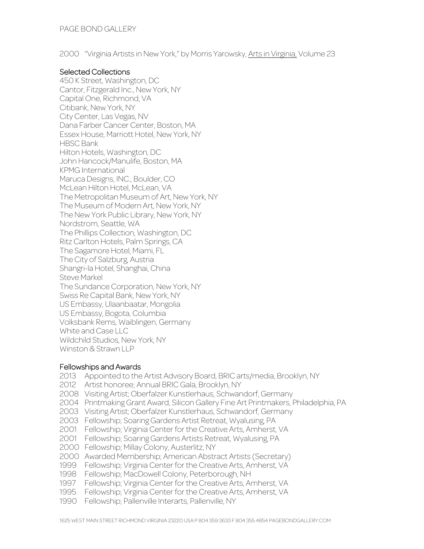2000 "Virginia Artists in New York," by Morris Yarowsky, Arts in Virginia, Volume 23

## Selected Collections

450 K Street, Washington, DC Cantor, Fitzgerald Inc., New York, NY Capital One, Richmond, VA Citibank, New York, NY City Center, Las Vegas, NV Dana Farber Cancer Center, Boston, MA Essex House, Marriott Hotel, New York, NY HBSC Bank Hilton Hotels, Washington, DC John Hancock/Manulife, Boston, MA KPMG International Maruca Designs, INC., Boulder, CO McLean Hilton Hotel, McLean, VA The Metropolitan Museum of Art, New York, NY The Museum of Modern Art, New York, NY The New York Public Library, New York, NY Nordstrom, Seattle, WA The Phillips Collection, Washington, DC Ritz Carlton Hotels, Palm Springs, CA The Sagamore Hotel, Miami, FL The City of Salzburg, Austria Shangri-la Hotel, Shanghai, China Steve Markel The Sundance Corporation, New York, NY Swiss Re Capital Bank, New York, NY US Embassy, Ulaanbaatar, Mongolia US Embassy, Bogota, Columbia Volksbank Rems, Waiblingen, Germany White and Case LLC Wildchild Studios, New York, NY Winston & Strawn LLP

#### Fellowships and Awards

2013 Appointed to the Artist Advisory Board, BRIC arts/media, Brooklyn, NY 2012 Artist honoree; Annual BRIC Gala, Brooklyn, NY Visiting Artist; Oberfalzer Kunstlerhaus, Schwandorf, Germany Printmaking Grant Award, Silicon Gallery Fine Art Printmakers, Philadelphia, PA Visiting Artist; Oberfalzer Kunstlerhaus, Schwandorf, Germany Fellowship; Soaring Gardens Artist Retreat, Wyalusing, PA Fellowship; Virginia Center for the Creative Arts, Amherst, VA Fellowship; Soaring Gardens Artists Retreat, Wyalusing, PA Fellowship; Millay Colony, Austerlitz, NY Awarded Membership; American Abstract Artists (Secretary) Fellowship; Virginia Center for the Creative Arts, Amherst, VA Fellowship; MacDowell Colony, Peterborough, NH Fellowship; Virginia Center for the Creative Arts, Amherst, VA Fellowship; Virginia Center for the Creative Arts, Amherst, VA

1990 Fellowship; Pallenville Interarts, Pallenville, NY